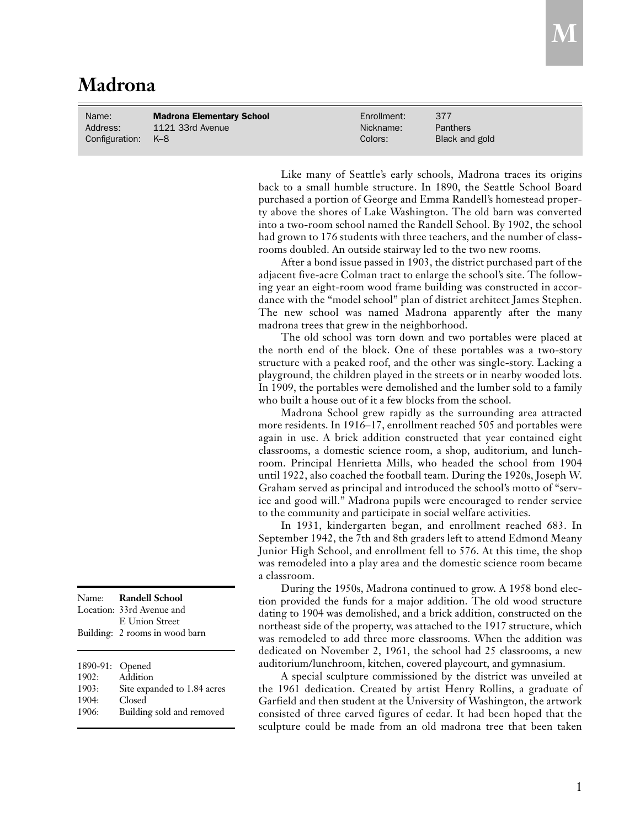## **Madrona**

| Name:              | <b>Madrona Elementary School</b> | Enrollment: | 377            |
|--------------------|----------------------------------|-------------|----------------|
| Address:           | 1121 33rd Avenue                 | Nickname:   | Panthers       |
| Configuration: K-8 |                                  | Colors:     | Black and gold |

Like many of Seattle's early schools, Madrona traces its origins back to a small humble structure. In 1890, the Seattle School Board purchased a portion of George and Emma Randell's homestead property above the shores of Lake Washington. The old barn was converted into a two-room school named the Randell School. By 1902, the school had grown to 176 students with three teachers, and the number of classrooms doubled. An outside stairway led to the two new rooms.

After a bond issue passed in 1903, the district purchased part of the adjacent five-acre Colman tract to enlarge the school's site. The following year an eight-room wood frame building was constructed in accordance with the "model school" plan of district architect James Stephen. The new school was named Madrona apparently after the many madrona trees that grew in the neighborhood.

The old school was torn down and two portables were placed at the north end of the block. One of these portables was a two-story structure with a peaked roof, and the other was single-story. Lacking a playground, the children played in the streets or in nearby wooded lots. In 1909, the portables were demolished and the lumber sold to a family who built a house out of it a few blocks from the school.

Madrona School grew rapidly as the surrounding area attracted more residents. In 1916–17, enrollment reached 505 and portables were again in use. A brick addition constructed that year contained eight classrooms, a domestic science room, a shop, auditorium, and lunchroom. Principal Henrietta Mills, who headed the school from 1904 until 1922, also coached the football team. During the 1920s, Joseph W. Graham served as principal and introduced the school's motto of "service and good will." Madrona pupils were encouraged to render service to the community and participate in social welfare activities.

In 1931, kindergarten began, and enrollment reached 683. In September 1942, the 7th and 8th graders left to attend Edmond Meany Junior High School, and enrollment fell to 576. At this time, the shop was remodeled into a play area and the domestic science room became a classroom.

During the 1950s, Madrona continued to grow. A 1958 bond election provided the funds for a major addition. The old wood structure dating to 1904 was demolished, and a brick addition, constructed on the northeast side of the property, was attached to the 1917 structure, which was remodeled to add three more classrooms. When the addition was dedicated on November 2, 1961, the school had 25 classrooms, a new auditorium/lunchroom, kitchen, covered playcourt, and gymnasium.

A special sculpture commissioned by the district was unveiled at the 1961 dedication. Created by artist Henry Rollins, a graduate of Garfield and then student at the University of Washington, the artwork consisted of three carved figures of cedar. It had been hoped that the sculpture could be made from an old madrona tree that been taken

|          | Name: Randell School<br>Location: 33rd Avenue and<br>E Union Street |
|----------|---------------------------------------------------------------------|
|          | Building: 2 rooms in wood barn                                      |
| 1890-91: | Opened                                                              |
| 1902:    | Addition                                                            |
| 1903:    | Site expanded to 1.84 acres                                         |
| 1904:    | Closed                                                              |
| 1906:    | Building sold and removed                                           |

 $\boldsymbol{\mathrm{M}}\vert$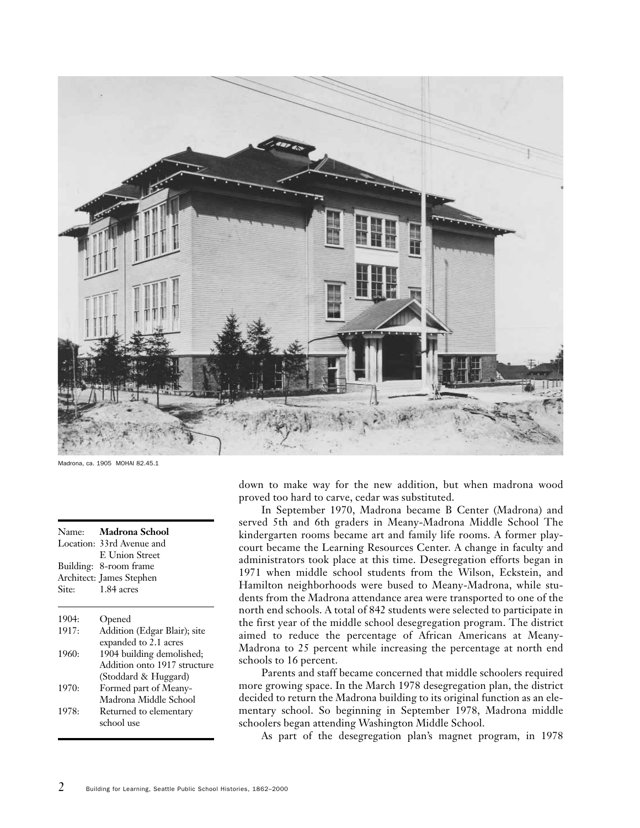

Madrona, ca. 1905 MOHAI 82.45.1

| Name: | Madrona School               |
|-------|------------------------------|
|       | Location: 33rd Avenue and    |
|       | <b>E</b> Union Street        |
|       | Building: 8-room frame       |
|       | Architect: James Stephen     |
| Site: | 1.84 acres                   |
| 1904: | Opened                       |
| 1917: | Addition (Edgar Blair); site |
|       | expanded to 2.1 acres        |
| 1960: | 1904 building demolished;    |
|       | Addition onto 1917 structure |
|       | (Stoddard & Huggard)         |
| 1970: | Formed part of Meany-        |
|       | Madrona Middle School        |
| 1978: | Returned to elementary       |
|       | school use                   |

down to make way for the new addition, but when madrona wood proved too hard to carve, cedar was substituted.

In September 1970, Madrona became B Center (Madrona) and served 5th and 6th graders in Meany-Madrona Middle School The kindergarten rooms became art and family life rooms. A former playcourt became the Learning Resources Center. A change in faculty and administrators took place at this time. Desegregation efforts began in 1971 when middle school students from the Wilson, Eckstein, and Hamilton neighborhoods were bused to Meany-Madrona, while students from the Madrona attendance area were transported to one of the north end schools. A total of 842 students were selected to participate in the first year of the middle school desegregation program. The district aimed to reduce the percentage of African Americans at Meany-Madrona to 25 percent while increasing the percentage at north end schools to 16 percent.

Parents and staff became concerned that middle schoolers required more growing space. In the March 1978 desegregation plan, the district decided to return the Madrona building to its original function as an elementary school. So beginning in September 1978, Madrona middle schoolers began attending Washington Middle School.

As part of the desegregation plan's magnet program, in 1978